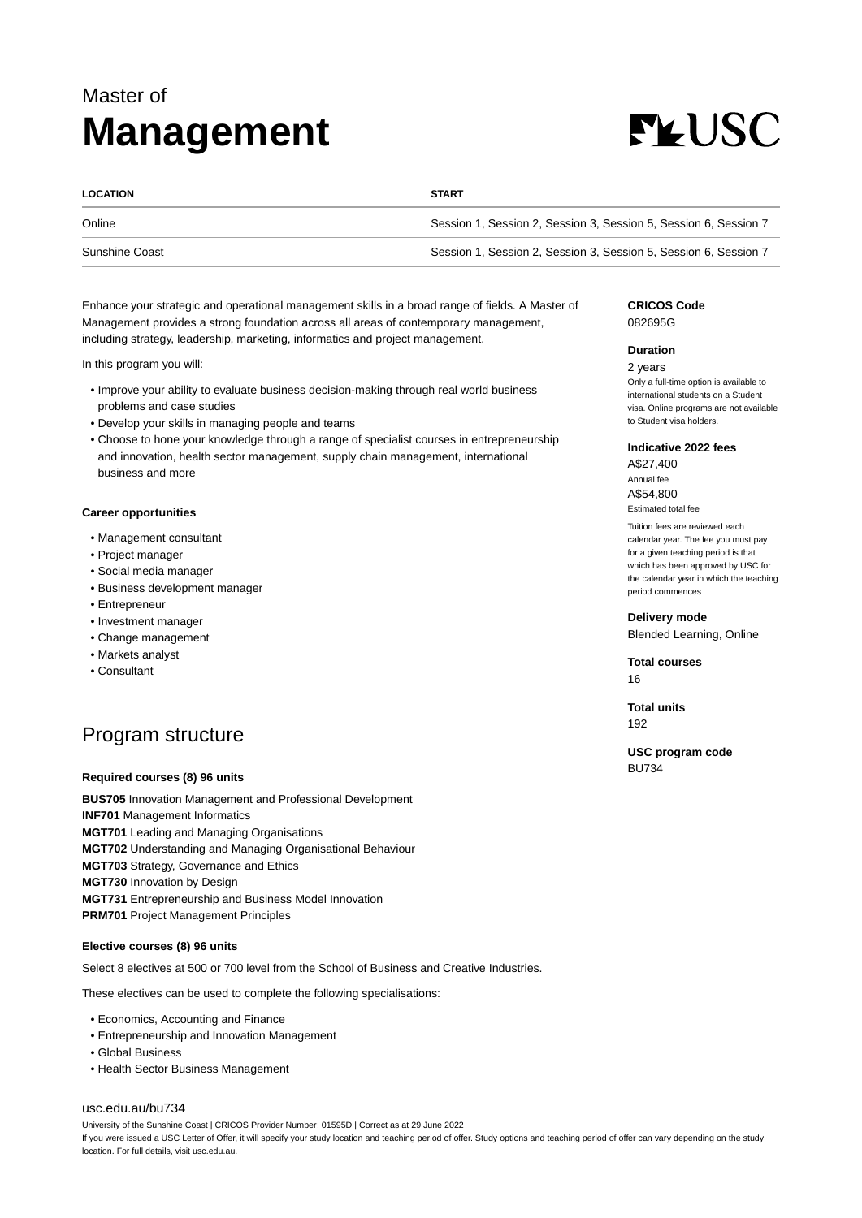# Master of **Management**



| <b>LOCATION</b> | <b>START</b>                                                     |
|-----------------|------------------------------------------------------------------|
| Online          | Session 1, Session 2, Session 3, Session 5, Session 6, Session 7 |
| Sunshine Coast  | Session 1, Session 2, Session 3, Session 5, Session 6, Session 7 |

Enhance your strategic and operational management skills in a broad range of fields. A Master of Management provides a strong foundation across all areas of contemporary management, including strategy, leadership, marketing, informatics and project management.

In this program you will:

- Improve your ability to evaluate business decision-making through real world business problems and case studies
- Develop your skills in managing people and teams
- Choose to hone your knowledge through a range of specialist courses in entrepreneurship and innovation, health sector management, supply chain management, international business and more

## **Career opportunities**

- Management consultant
- Project manager
- Social media manager
- Business development manager
- Entrepreneur
- Investment manager
- Change management
- Markets analyst
- Consultant

# Program structure

#### **Required courses (8) 96 units**

**BUS705** Innovation Management and Professional Development **INF701** Management Informatics **MGT701** Leading and Managing Organisations **MGT702** Understanding and Managing Organisational Behaviour **MGT703** Strategy, Governance and Ethics **MGT730** Innovation by Design **MGT731** Entrepreneurship and Business Model Innovation **PRM701** Project Management Principles

#### **Elective courses (8) 96 units**

Select 8 electives at 500 or 700 level from the School of Business and Creative Industries.

These electives can be used to complete the following specialisations:

- Economics, Accounting and Finance
- Entrepreneurship and Innovation Management
- Global Business
- Health Sector Business Management

### [usc.edu.au/bu734](https://www.usc.edu.au/bu734)

University of the Sunshine Coast | CRICOS Provider Number: 01595D | Correct as at 29 June 2022 If you were issued a USC Letter of Offer, it will specify your study location and teaching period of offer. Study options and teaching period of offer can vary depending on the study location. For full details, visit usc.edu.au.

### **CRICOS Code** 082695G

#### **Duration**

2 years Only a full-time option is available to international students on a Student visa. Online programs are not available to Student visa holders.

#### **Indicative 2022 fees**

A\$27,400 Annual fee A\$54,800 Estimated total fee

Tuition fees are reviewed each calendar year. The fee you must pay for a given teaching period is that which has been approved by USC for the calendar year in which the teaching period commences

**Delivery mode**

Blended Learning, Online

**Total courses** 16

**Total units** 192

**USC program code** BU734